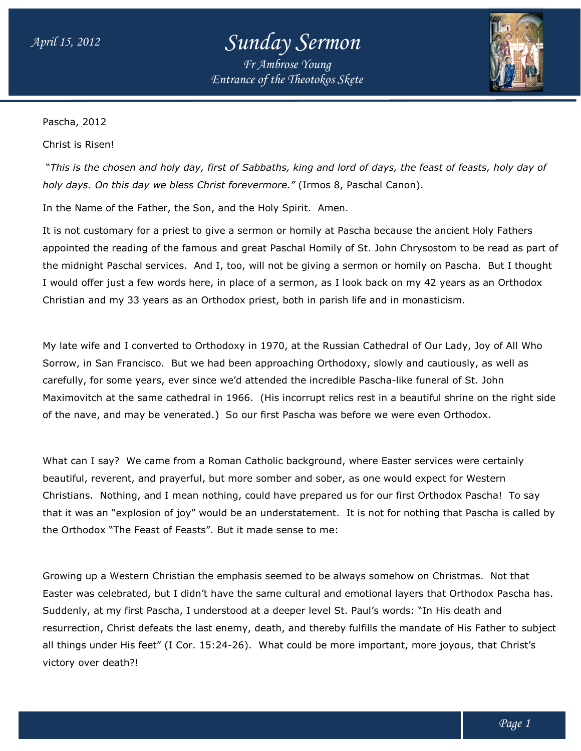## *Sunday Sermon Fr Ambrose Young*

*Entrance of the Theotokos Skete*



Pascha, 2012

Christ is Risen!

 "*This is the chosen and holy day, first of Sabbaths, king and lord of days, the feast of feasts, holy day of holy days. On this day we bless Christ forevermore." is the holy day, holy days. this day*  (Irmos 8, Paschal Canon).

In the Name of the Father, the Son, and the Holy Spirit. Amen.

It is not customary for a priest to give a sermon or homily at Pascha because the ancient Holy Fathers appointed the reading of the famous and great Paschal Homily of St. John Chrysostom to be read as part of the midnight Paschal services. And I, too, will not be giving a sermon or homily on Pascha. I would offer just a few words here, in place of a sermon, as I look back on my 42 years as an Orthodox Christian and my 33 years as an Orthodox priest, both in parish life an mary for a priest to give a sermon or homily at Pascha because the ancient Hol<br>reading of the famous and great Paschal Homily of St. John Chrysostom to be<br>aschal services. And I, too, will not be giving a sermon or homily Pascha. But I thought

My late wife and I converted to Orthodoxy in 1970, at the Russian Cathedral of Our Lady, Joy of All Who Sorrow, in San Francisco. But we had been approaching Orthodoxy, slowly and cautiously, as well as My late wife and I converted to Orthodoxy in 1970, at the Russian Cathedral of Our Lady, Joy of All<br>Sorrow, in San Francisco. But we had been approaching Orthodoxy, slowly and cautiously, as well a<br>carefully, for some year Maximovitch at the same cathedral in 1966. (His incorrupt relics rest in a beautiful shrine on the right side of the nave, and may be venerated.) So our first Pascha was before we were even Orthodox. both in parish life and in monasticism.<br>
), at the Russian Cathedral of Our Lady, Joy of All Who<br>
aching Orthodoxy, slowly and cautiously, as well as<br>
d the incredible Pascha-like funeral of St. John<br>
incorrupt relics rest

What can I say? We came from a Roman Catholic background, where Easter services were certainly beautiful, reverent, and prayerful, but more somber and sober, as one would expect for Western What can I say? We came from a Roman Catholic background, where Easter services were certai<br>beautiful, reverent, and prayerful, but more somber and sober, as one would expect for Western<br>Christians. Nothing, and I mean not that it was an "explosion of joy" would be an understatement. It is not for nothing that Pascha is called by the Orthodox "The Feast of Feasts". But it made sense to me: for nothing that Pascha is calle<br>iehow on Christmas. Not that

Growing up a Western Christian the emphasis seemed to be always somehow on Christmas. Easter was celebrated, but I didn't have the same cultural and emotional layers that Orthodox Pascha has. has. Suddenly, at my first Pascha, I understood at a deeper level St. Paul's words: "In His death and resurrection, Christ defeats the last enemy, death, and thereby fulfills the mandate of His Father to subject resurrection, Christ defeats the last enemy, death, and thereby fulfills the mandate of His Father to sub<br>all things under His feet" (I Cor. 15:24-26). What could be more important, more joyous, that Christ's victory over death?! "The Feast of Feasts". But it made sense to me:<br>Western Christian the emphasis seemed to be always somehow on Christmas. Not<br>lebrated, but I didn't have the same cultural and emotional layers that Orthodox Pa<br>my first Pasc